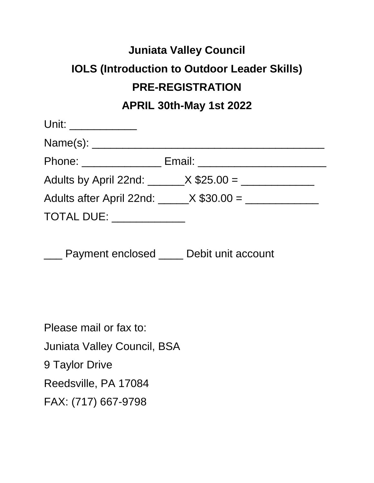## **Juniata Valley Council IOLS (Introduction to Outdoor Leader Skills) PRE-REGISTRATION APRIL 30th-May 1st 2022**

| Unit: ______________                          |                                    |
|-----------------------------------------------|------------------------------------|
|                                               |                                    |
|                                               | Email: _______________________     |
|                                               | Adults by April 22nd: $X $25.00 =$ |
| Adults after April 22nd: $\frac{X $30.00}{=}$ |                                    |
| <b>TOTAL DUE:</b>                             |                                    |

**EXECO Payment enclosed \_\_\_\_ Debit unit account** 

Please mail or fax to: Juniata Valley Council, BSA 9 Taylor Drive Reedsville, PA 17084 FAX: (717) 667-9798